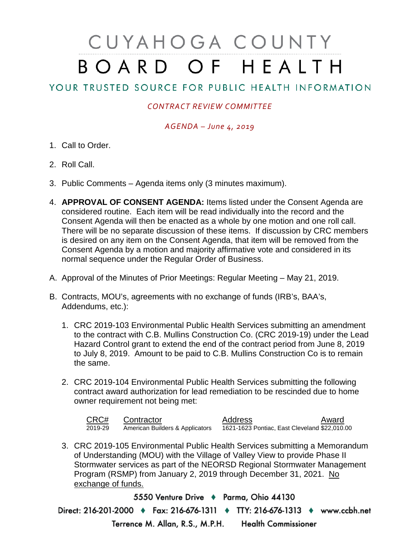# CUYAHOGA COUNTY BOARD OF HEALTH

## YOUR TRUSTED SOURCE FOR PUBLIC HEALTH INFORMATION

### *CONTRACT REVIEW COMMITTEE*

#### *AGENDA – June 4, 2019*

- 1. Call to Order.
- 2. Roll Call.
- 3. Public Comments Agenda items only (3 minutes maximum).
- 4. **APPROVAL OF CONSENT AGENDA:** Items listed under the Consent Agenda are considered routine. Each item will be read individually into the record and the Consent Agenda will then be enacted as a whole by one motion and one roll call. There will be no separate discussion of these items. If discussion by CRC members is desired on any item on the Consent Agenda, that item will be removed from the Consent Agenda by a motion and majority affirmative vote and considered in its normal sequence under the Regular Order of Business.
- A. Approval of the Minutes of Prior Meetings: Regular Meeting May 21, 2019.
- B. Contracts, MOU's, agreements with no exchange of funds (IRB's, BAA's, Addendums, etc.):
	- 1. CRC 2019-103 Environmental Public Health Services submitting an amendment to the contract with C.B. Mullins Construction Co. (CRC 2019-19) under the Lead Hazard Control grant to extend the end of the contract period from June 8, 2019 to July 8, 2019. Amount to be paid to C.B. Mullins Construction Co is to remain the same.
	- 2. CRC 2019-104 Environmental Public Health Services submitting the following contract award authorization for lead remediation to be rescinded due to home owner requirement not being met:

| CRC#    | Contractor                      | Address                                       | Award |
|---------|---------------------------------|-----------------------------------------------|-------|
| 2019-29 | American Builders & Applicators | 1621-1623 Pontiac, East Cleveland \$22,010.00 |       |

3. CRC 2019-105 Environmental Public Health Services submitting a Memorandum of Understanding (MOU) with the Village of Valley View to provide Phase II Stormwater services as part of the NEORSD Regional Stormwater Management Program (RSMP) from January 2, 2019 through December 31, 2021. No exchange of funds.

5550 Venture Drive + Parma, Ohio 44130 Direct: 216-201-2000 • Fax: 216-676-1311 • TTY: 216-676-1313 • www.ccbh.net Terrence M. Allan, R.S., M.P.H. Health Commissioner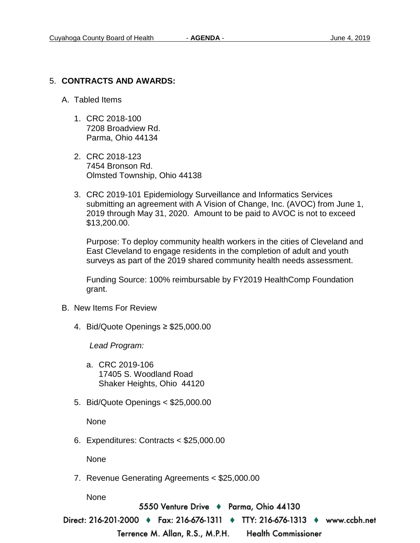#### 5. **CONTRACTS AND AWARDS:**

- A. Tabled Items
	- 1. CRC 2018-100 7208 Broadview Rd. Parma, Ohio 44134
	- 2. CRC 2018-123 7454 Bronson Rd. Olmsted Township, Ohio 44138
	- 3. CRC 2019-101 Epidemiology Surveillance and Informatics Services submitting an agreement with A Vision of Change, Inc. (AVOC) from June 1, 2019 through May 31, 2020. Amount to be paid to AVOC is not to exceed \$13,200.00.

Purpose: To deploy community health workers in the cities of Cleveland and East Cleveland to engage residents in the completion of adult and youth surveys as part of the 2019 shared community health needs assessment.

Funding Source: 100% reimbursable by FY2019 HealthComp Foundation grant.

- B. New Items For Review
	- 4. Bid/Quote Openings ≥ \$25,000.00

*Lead Program:*

- a. CRC 2019-106 17405 S. Woodland Road Shaker Heights, Ohio 44120
- 5. Bid/Quote Openings < \$25,000.00

None

6. Expenditures: Contracts < \$25,000.00

None

7. Revenue Generating Agreements < \$25,000.00

None

5550 Venture Drive → Parma, Ohio 44130

Direct: 216-201-2000 ♦ Fax: 216-676-1311 ♦ TTY: 216-676-1313 ♦ www.ccbh.net

Terrence M. Allan, R.S., M.P.H.

**Health Commissioner**